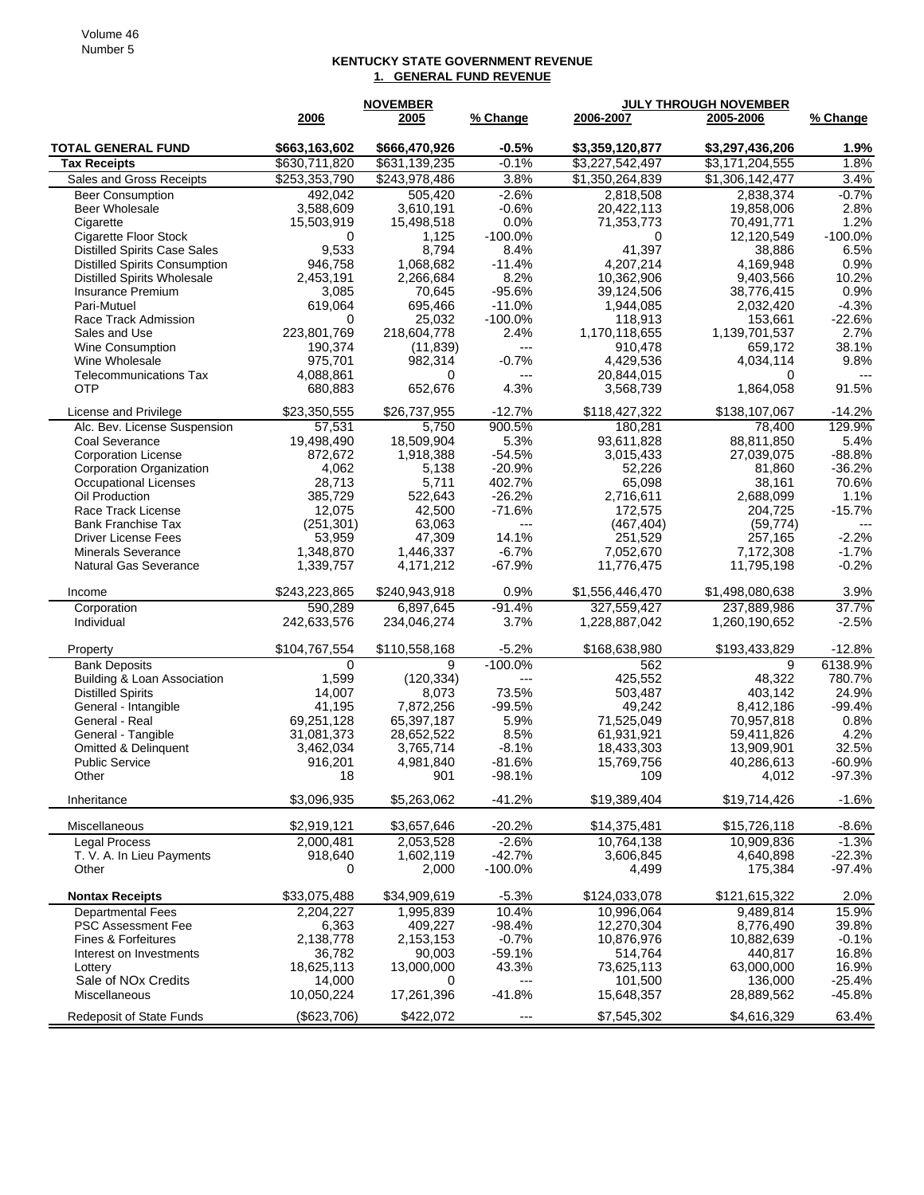## **KENTUCKY STATE GOVERNMENT REVENUE 1. GENERAL FUND REVENUE**

| 2006<br>2005<br>% Change<br>% Change<br>\$663,163,602<br>$-0.5%$<br><b>TOTAL GENERAL FUND</b><br>\$666,470,926<br>\$3,359,120,877<br>\$3,297,436,206<br>1.9%<br>\$3,227,542,497<br>\$3,171,204,555<br>1.8%<br>\$630,711,820<br>\$631,139,235<br>$-0.1%$<br><b>Tax Receipts</b><br>3.8%<br>3.4%<br>\$253,353,790<br>\$243,978,486<br>\$1,350,264,839<br>\$1,306,142,477<br>Sales and Gross Receipts<br>$-2.6%$<br>$-0.7%$<br>492,042<br>505,420<br>2,818,508<br>2,838,374<br><b>Beer Consumption</b><br>3,588,609<br>3,610,191<br>$-0.6%$<br>20,422,113<br>19,858,006<br>2.8%<br><b>Beer Wholesale</b><br>1.2%<br>0.0%<br>71,353,773<br>70,491,771<br>15,503,919<br>15,498,518<br>Cigarette<br>$-100.0%$<br>12,120,549<br>$-100.0%$<br><b>Cigarette Floor Stock</b><br>1,125<br>0<br>0<br><b>Distilled Spirits Case Sales</b><br>9,533<br>8,794<br>8.4%<br>41,397<br>6.5%<br>38,886<br>0.9%<br>1.068.682<br>$-11.4%$<br>4,207,214<br>4,169,948<br><b>Distilled Spirits Consumption</b><br>946,758<br>8.2%<br>10,362,906<br>10.2%<br><b>Distilled Spirits Wholesale</b><br>2,453,191<br>2,266,684<br>9,403,566<br>3,085<br>70,645<br>$-95.6%$<br>39,124,506<br>0.9%<br>Insurance Premium<br>38,776,415<br>$-11.0%$<br>$-4.3%$<br>Pari-Mutuel<br>619,064<br>695,466<br>1,944,085<br>2,032,420<br>25,032<br>$-100.0\%$<br>$-22.6%$<br>Race Track Admission<br>0<br>118,913<br>153,661<br>223,801,769<br>218,604,778<br>2.4%<br>2.7%<br>1,170,118,655<br>1,139,701,537<br>Sales and Use<br>38.1%<br>190,374<br>(11, 839)<br>910,478<br>659,172<br>Wine Consumption<br>---<br>$-0.7%$<br>9.8%<br>Wine Wholesale<br>975,701<br>982,314<br>4,429,536<br>4,034,114<br>4,088,861<br>0<br>20,844,015<br>0<br><b>Telecommunications Tax</b><br>$---$<br>$---$<br><b>OTP</b><br>4.3%<br>91.5%<br>680,883<br>652,676<br>3,568,739<br>1,864,058<br>\$23,350,555<br>$-12.7%$<br>\$118,427,322<br>\$26,737,955<br>\$138,107,067<br>$-14.2%$<br>License and Privilege<br>900.5%<br>129.9%<br>57.531<br>5,750<br>Alc. Bev. License Suspension<br>180,281<br>78,400<br>5.3%<br>88,811,850<br>5.4%<br>Coal Severance<br>19,498,490<br>18,509,904<br>93,611,828<br>1,918,388<br>$-54.5%$<br>3,015,433<br>27,039,075<br>$-88.8%$<br><b>Corporation License</b><br>872,672<br>$-20.9%$<br>$-36.2%$<br>Corporation Organization<br>4,062<br>5,138<br>52,226<br>81,860<br>28,713<br>5,711<br>402.7%<br>65,098<br>38,161<br>70.6%<br>Occupational Licenses<br>385,729<br>522,643<br>$-26.2%$<br>2,716,611<br>2,688,099<br>1.1%<br>Oil Production<br>12,075<br>$-71.6%$<br>$-15.7%$<br>Race Track License<br>42,500<br>172.575<br>204,725<br>(251, 301)<br>63,063<br>(467, 404)<br>(59, 774)<br><b>Bank Franchise Tax</b><br>$---$<br>47,309<br>14.1%<br>$-2.2%$<br><b>Driver License Fees</b><br>53,959<br>251,529<br>257,165<br>$-6.7%$<br>7,172,308<br>$-1.7%$<br><b>Minerals Severance</b><br>1,348,870<br>1,446,337<br>7,052,670<br>$-67.9%$<br>$-0.2%$<br><b>Natural Gas Severance</b><br>1,339,757<br>4,171,212<br>11,776,475<br>11,795,198<br>\$243,223,865<br>0.9%<br>\$240,943,918<br>\$1,556,446,470<br>\$1,498,080,638<br>3.9%<br>Income<br>$-91.4%$<br>327,559,427<br>37.7%<br>590,289<br>6,897,645<br>237,889,986<br>Corporation<br>242,633,576<br>3.7%<br>1,228,887,042<br>$-2.5%$<br>Individual<br>234,046,274<br>1,260,190,652<br>$-5.2%$<br>$-12.8%$<br>\$104,767,554<br>\$110,558,168<br>\$168,638,980<br>\$193,433,829<br>Property<br>9<br>$-100.0%$<br>9<br>6138.9%<br>562<br><b>Bank Deposits</b><br>0<br>1,599<br>(120, 334)<br>425,552<br>780.7%<br>Building & Loan Association<br>48,322<br>$---$<br>14,007<br>73.5%<br>24.9%<br><b>Distilled Spirits</b><br>8,073<br>503,487<br>403,142<br>41,195<br>7,872,256<br>$-99.5%$<br>8,412,186<br>$-99.4%$<br>General - Intangible<br>49,242<br>69,251,128<br>65,397,187<br>5.9%<br>71,525,049<br>0.8%<br>General - Real<br>70,957,818<br>31,081,373<br>28,652,522<br>8.5%<br>61,931,921<br>59,411,826<br>4.2%<br>General - Tangible<br>$-8.1%$<br>32.5%<br><b>Omitted &amp; Delinquent</b><br>3,462,034<br>3,765,714<br>18,433,303<br>13,909,901<br>$-81.6%$<br>$-60.9%$<br><b>Public Service</b><br>916,201<br>4,981,840<br>15,769,756<br>40,286,613<br>$-98.1%$<br>$-97.3%$<br>18<br>4,012<br>901<br>Other<br>าบษ<br>\$3,096,935<br>\$5,263,062<br>$-41.2%$<br>\$19,389,404<br>\$19,714,426<br>$-1.6%$<br>Inheritance<br>\$2,919,121<br>\$3,657,646<br>$-20.2%$<br>\$14,375,481<br>\$15,726,118<br>$-8.6%$<br>Miscellaneous<br>$-2.6%$<br>$-1.3%$<br><b>Legal Process</b><br>2,000,481<br>2,053,528<br>10,764,138<br>10,909,836<br>1,602,119<br>$-42.7%$<br>$-22.3%$<br>T. V. A. In Lieu Payments<br>918,640<br>3,606,845<br>4,640,898<br>$-100.0%$<br>$-97.4%$<br>Other<br>0<br>2,000<br>4,499<br>175,384<br><b>Nontax Receipts</b><br>2.0%<br>\$33,075,488<br>\$34,909,619<br>$-5.3%$<br>\$124,033,078<br>\$121,615,322<br><b>Departmental Fees</b><br>1,995,839<br>10.4%<br>10,996,064<br>9,489,814<br>15.9%<br>2,204,227<br>6,363<br>409,227<br>$-98.4%$<br>12,270,304<br>8,776,490<br>39.8%<br><b>PSC Assessment Fee</b><br>2,153,153<br>$-0.7%$<br>10,876,976<br>$-0.1%$<br>Fines & Forfeitures<br>2,138,778<br>10,882,639<br>90,003<br>$-59.1%$<br>514,764<br>16.8%<br>36,782<br>440,817<br>Interest on Investments<br>43.3%<br>16.9%<br>18,625,113<br>13,000,000<br>73,625,113<br>63,000,000<br>Lottery<br>Sale of NO <sub>x</sub> Credits<br>14,000<br>101,500<br>136,000<br>-25.4%<br>0<br>$---$<br>$-41.8%$<br>-45.8%<br>Miscellaneous<br>17,261,396<br>15,648,357<br>28,889,562<br>10,050,224<br>Redeposit of State Funds<br>$---$ |             | <b>NOVEMBER</b> |             | <b>JULY THROUGH NOVEMBER</b> |       |
|------------------------------------------------------------------------------------------------------------------------------------------------------------------------------------------------------------------------------------------------------------------------------------------------------------------------------------------------------------------------------------------------------------------------------------------------------------------------------------------------------------------------------------------------------------------------------------------------------------------------------------------------------------------------------------------------------------------------------------------------------------------------------------------------------------------------------------------------------------------------------------------------------------------------------------------------------------------------------------------------------------------------------------------------------------------------------------------------------------------------------------------------------------------------------------------------------------------------------------------------------------------------------------------------------------------------------------------------------------------------------------------------------------------------------------------------------------------------------------------------------------------------------------------------------------------------------------------------------------------------------------------------------------------------------------------------------------------------------------------------------------------------------------------------------------------------------------------------------------------------------------------------------------------------------------------------------------------------------------------------------------------------------------------------------------------------------------------------------------------------------------------------------------------------------------------------------------------------------------------------------------------------------------------------------------------------------------------------------------------------------------------------------------------------------------------------------------------------------------------------------------------------------------------------------------------------------------------------------------------------------------------------------------------------------------------------------------------------------------------------------------------------------------------------------------------------------------------------------------------------------------------------------------------------------------------------------------------------------------------------------------------------------------------------------------------------------------------------------------------------------------------------------------------------------------------------------------------------------------------------------------------------------------------------------------------------------------------------------------------------------------------------------------------------------------------------------------------------------------------------------------------------------------------------------------------------------------------------------------------------------------------------------------------------------------------------------------------------------------------------------------------------------------------------------------------------------------------------------------------------------------------------------------------------------------------------------------------------------------------------------------------------------------------------------------------------------------------------------------------------------------------------------------------------------------------------------------------------------------------------------------------------------------------------------------------------------------------------------------------------------------------------------------------------------------------------------------------------------------------------------------------------------------------------------------------------------------------------------------------------------------------------------------------------------------------------------------------------------------------------------------------------------------------------------------------------------------------------------------------------------------------------------------------------------------------------------------------------------------------------------------------------------------------------------------------------------------------------------------------------------------------------------------------------------------------------------------------------------------------------------------------------------------------------------------------------------------------------------------------------------------------------------------------------------------------------------------------------------------------------------------------------------------------------------------------------------------------|-------------|-----------------|-------------|------------------------------|-------|
|                                                                                                                                                                                                                                                                                                                                                                                                                                                                                                                                                                                                                                                                                                                                                                                                                                                                                                                                                                                                                                                                                                                                                                                                                                                                                                                                                                                                                                                                                                                                                                                                                                                                                                                                                                                                                                                                                                                                                                                                                                                                                                                                                                                                                                                                                                                                                                                                                                                                                                                                                                                                                                                                                                                                                                                                                                                                                                                                                                                                                                                                                                                                                                                                                                                                                                                                                                                                                                                                                                                                                                                                                                                                                                                                                                                                                                                                                                                                                                                                                                                                                                                                                                                                                                                                                                                                                                                                                                                                                                                                                                                                                                                                                                                                                                                                                                                                                                                                                                                                                                                                                                                                                                                                                                                                                                                                                                                                                                                                                                                                                                                          |             |                 | 2006-2007   | 2005-2006                    |       |
|                                                                                                                                                                                                                                                                                                                                                                                                                                                                                                                                                                                                                                                                                                                                                                                                                                                                                                                                                                                                                                                                                                                                                                                                                                                                                                                                                                                                                                                                                                                                                                                                                                                                                                                                                                                                                                                                                                                                                                                                                                                                                                                                                                                                                                                                                                                                                                                                                                                                                                                                                                                                                                                                                                                                                                                                                                                                                                                                                                                                                                                                                                                                                                                                                                                                                                                                                                                                                                                                                                                                                                                                                                                                                                                                                                                                                                                                                                                                                                                                                                                                                                                                                                                                                                                                                                                                                                                                                                                                                                                                                                                                                                                                                                                                                                                                                                                                                                                                                                                                                                                                                                                                                                                                                                                                                                                                                                                                                                                                                                                                                                                          |             |                 |             |                              |       |
|                                                                                                                                                                                                                                                                                                                                                                                                                                                                                                                                                                                                                                                                                                                                                                                                                                                                                                                                                                                                                                                                                                                                                                                                                                                                                                                                                                                                                                                                                                                                                                                                                                                                                                                                                                                                                                                                                                                                                                                                                                                                                                                                                                                                                                                                                                                                                                                                                                                                                                                                                                                                                                                                                                                                                                                                                                                                                                                                                                                                                                                                                                                                                                                                                                                                                                                                                                                                                                                                                                                                                                                                                                                                                                                                                                                                                                                                                                                                                                                                                                                                                                                                                                                                                                                                                                                                                                                                                                                                                                                                                                                                                                                                                                                                                                                                                                                                                                                                                                                                                                                                                                                                                                                                                                                                                                                                                                                                                                                                                                                                                                                          |             |                 |             |                              |       |
|                                                                                                                                                                                                                                                                                                                                                                                                                                                                                                                                                                                                                                                                                                                                                                                                                                                                                                                                                                                                                                                                                                                                                                                                                                                                                                                                                                                                                                                                                                                                                                                                                                                                                                                                                                                                                                                                                                                                                                                                                                                                                                                                                                                                                                                                                                                                                                                                                                                                                                                                                                                                                                                                                                                                                                                                                                                                                                                                                                                                                                                                                                                                                                                                                                                                                                                                                                                                                                                                                                                                                                                                                                                                                                                                                                                                                                                                                                                                                                                                                                                                                                                                                                                                                                                                                                                                                                                                                                                                                                                                                                                                                                                                                                                                                                                                                                                                                                                                                                                                                                                                                                                                                                                                                                                                                                                                                                                                                                                                                                                                                                                          |             |                 |             |                              |       |
|                                                                                                                                                                                                                                                                                                                                                                                                                                                                                                                                                                                                                                                                                                                                                                                                                                                                                                                                                                                                                                                                                                                                                                                                                                                                                                                                                                                                                                                                                                                                                                                                                                                                                                                                                                                                                                                                                                                                                                                                                                                                                                                                                                                                                                                                                                                                                                                                                                                                                                                                                                                                                                                                                                                                                                                                                                                                                                                                                                                                                                                                                                                                                                                                                                                                                                                                                                                                                                                                                                                                                                                                                                                                                                                                                                                                                                                                                                                                                                                                                                                                                                                                                                                                                                                                                                                                                                                                                                                                                                                                                                                                                                                                                                                                                                                                                                                                                                                                                                                                                                                                                                                                                                                                                                                                                                                                                                                                                                                                                                                                                                                          |             |                 |             |                              |       |
|                                                                                                                                                                                                                                                                                                                                                                                                                                                                                                                                                                                                                                                                                                                                                                                                                                                                                                                                                                                                                                                                                                                                                                                                                                                                                                                                                                                                                                                                                                                                                                                                                                                                                                                                                                                                                                                                                                                                                                                                                                                                                                                                                                                                                                                                                                                                                                                                                                                                                                                                                                                                                                                                                                                                                                                                                                                                                                                                                                                                                                                                                                                                                                                                                                                                                                                                                                                                                                                                                                                                                                                                                                                                                                                                                                                                                                                                                                                                                                                                                                                                                                                                                                                                                                                                                                                                                                                                                                                                                                                                                                                                                                                                                                                                                                                                                                                                                                                                                                                                                                                                                                                                                                                                                                                                                                                                                                                                                                                                                                                                                                                          |             |                 |             |                              |       |
|                                                                                                                                                                                                                                                                                                                                                                                                                                                                                                                                                                                                                                                                                                                                                                                                                                                                                                                                                                                                                                                                                                                                                                                                                                                                                                                                                                                                                                                                                                                                                                                                                                                                                                                                                                                                                                                                                                                                                                                                                                                                                                                                                                                                                                                                                                                                                                                                                                                                                                                                                                                                                                                                                                                                                                                                                                                                                                                                                                                                                                                                                                                                                                                                                                                                                                                                                                                                                                                                                                                                                                                                                                                                                                                                                                                                                                                                                                                                                                                                                                                                                                                                                                                                                                                                                                                                                                                                                                                                                                                                                                                                                                                                                                                                                                                                                                                                                                                                                                                                                                                                                                                                                                                                                                                                                                                                                                                                                                                                                                                                                                                          |             |                 |             |                              |       |
|                                                                                                                                                                                                                                                                                                                                                                                                                                                                                                                                                                                                                                                                                                                                                                                                                                                                                                                                                                                                                                                                                                                                                                                                                                                                                                                                                                                                                                                                                                                                                                                                                                                                                                                                                                                                                                                                                                                                                                                                                                                                                                                                                                                                                                                                                                                                                                                                                                                                                                                                                                                                                                                                                                                                                                                                                                                                                                                                                                                                                                                                                                                                                                                                                                                                                                                                                                                                                                                                                                                                                                                                                                                                                                                                                                                                                                                                                                                                                                                                                                                                                                                                                                                                                                                                                                                                                                                                                                                                                                                                                                                                                                                                                                                                                                                                                                                                                                                                                                                                                                                                                                                                                                                                                                                                                                                                                                                                                                                                                                                                                                                          |             |                 |             |                              |       |
|                                                                                                                                                                                                                                                                                                                                                                                                                                                                                                                                                                                                                                                                                                                                                                                                                                                                                                                                                                                                                                                                                                                                                                                                                                                                                                                                                                                                                                                                                                                                                                                                                                                                                                                                                                                                                                                                                                                                                                                                                                                                                                                                                                                                                                                                                                                                                                                                                                                                                                                                                                                                                                                                                                                                                                                                                                                                                                                                                                                                                                                                                                                                                                                                                                                                                                                                                                                                                                                                                                                                                                                                                                                                                                                                                                                                                                                                                                                                                                                                                                                                                                                                                                                                                                                                                                                                                                                                                                                                                                                                                                                                                                                                                                                                                                                                                                                                                                                                                                                                                                                                                                                                                                                                                                                                                                                                                                                                                                                                                                                                                                                          |             |                 |             |                              |       |
|                                                                                                                                                                                                                                                                                                                                                                                                                                                                                                                                                                                                                                                                                                                                                                                                                                                                                                                                                                                                                                                                                                                                                                                                                                                                                                                                                                                                                                                                                                                                                                                                                                                                                                                                                                                                                                                                                                                                                                                                                                                                                                                                                                                                                                                                                                                                                                                                                                                                                                                                                                                                                                                                                                                                                                                                                                                                                                                                                                                                                                                                                                                                                                                                                                                                                                                                                                                                                                                                                                                                                                                                                                                                                                                                                                                                                                                                                                                                                                                                                                                                                                                                                                                                                                                                                                                                                                                                                                                                                                                                                                                                                                                                                                                                                                                                                                                                                                                                                                                                                                                                                                                                                                                                                                                                                                                                                                                                                                                                                                                                                                                          |             |                 |             |                              |       |
|                                                                                                                                                                                                                                                                                                                                                                                                                                                                                                                                                                                                                                                                                                                                                                                                                                                                                                                                                                                                                                                                                                                                                                                                                                                                                                                                                                                                                                                                                                                                                                                                                                                                                                                                                                                                                                                                                                                                                                                                                                                                                                                                                                                                                                                                                                                                                                                                                                                                                                                                                                                                                                                                                                                                                                                                                                                                                                                                                                                                                                                                                                                                                                                                                                                                                                                                                                                                                                                                                                                                                                                                                                                                                                                                                                                                                                                                                                                                                                                                                                                                                                                                                                                                                                                                                                                                                                                                                                                                                                                                                                                                                                                                                                                                                                                                                                                                                                                                                                                                                                                                                                                                                                                                                                                                                                                                                                                                                                                                                                                                                                                          |             |                 |             |                              |       |
|                                                                                                                                                                                                                                                                                                                                                                                                                                                                                                                                                                                                                                                                                                                                                                                                                                                                                                                                                                                                                                                                                                                                                                                                                                                                                                                                                                                                                                                                                                                                                                                                                                                                                                                                                                                                                                                                                                                                                                                                                                                                                                                                                                                                                                                                                                                                                                                                                                                                                                                                                                                                                                                                                                                                                                                                                                                                                                                                                                                                                                                                                                                                                                                                                                                                                                                                                                                                                                                                                                                                                                                                                                                                                                                                                                                                                                                                                                                                                                                                                                                                                                                                                                                                                                                                                                                                                                                                                                                                                                                                                                                                                                                                                                                                                                                                                                                                                                                                                                                                                                                                                                                                                                                                                                                                                                                                                                                                                                                                                                                                                                                          |             |                 |             |                              |       |
|                                                                                                                                                                                                                                                                                                                                                                                                                                                                                                                                                                                                                                                                                                                                                                                                                                                                                                                                                                                                                                                                                                                                                                                                                                                                                                                                                                                                                                                                                                                                                                                                                                                                                                                                                                                                                                                                                                                                                                                                                                                                                                                                                                                                                                                                                                                                                                                                                                                                                                                                                                                                                                                                                                                                                                                                                                                                                                                                                                                                                                                                                                                                                                                                                                                                                                                                                                                                                                                                                                                                                                                                                                                                                                                                                                                                                                                                                                                                                                                                                                                                                                                                                                                                                                                                                                                                                                                                                                                                                                                                                                                                                                                                                                                                                                                                                                                                                                                                                                                                                                                                                                                                                                                                                                                                                                                                                                                                                                                                                                                                                                                          |             |                 |             |                              |       |
|                                                                                                                                                                                                                                                                                                                                                                                                                                                                                                                                                                                                                                                                                                                                                                                                                                                                                                                                                                                                                                                                                                                                                                                                                                                                                                                                                                                                                                                                                                                                                                                                                                                                                                                                                                                                                                                                                                                                                                                                                                                                                                                                                                                                                                                                                                                                                                                                                                                                                                                                                                                                                                                                                                                                                                                                                                                                                                                                                                                                                                                                                                                                                                                                                                                                                                                                                                                                                                                                                                                                                                                                                                                                                                                                                                                                                                                                                                                                                                                                                                                                                                                                                                                                                                                                                                                                                                                                                                                                                                                                                                                                                                                                                                                                                                                                                                                                                                                                                                                                                                                                                                                                                                                                                                                                                                                                                                                                                                                                                                                                                                                          |             |                 |             |                              |       |
|                                                                                                                                                                                                                                                                                                                                                                                                                                                                                                                                                                                                                                                                                                                                                                                                                                                                                                                                                                                                                                                                                                                                                                                                                                                                                                                                                                                                                                                                                                                                                                                                                                                                                                                                                                                                                                                                                                                                                                                                                                                                                                                                                                                                                                                                                                                                                                                                                                                                                                                                                                                                                                                                                                                                                                                                                                                                                                                                                                                                                                                                                                                                                                                                                                                                                                                                                                                                                                                                                                                                                                                                                                                                                                                                                                                                                                                                                                                                                                                                                                                                                                                                                                                                                                                                                                                                                                                                                                                                                                                                                                                                                                                                                                                                                                                                                                                                                                                                                                                                                                                                                                                                                                                                                                                                                                                                                                                                                                                                                                                                                                                          |             |                 |             |                              |       |
|                                                                                                                                                                                                                                                                                                                                                                                                                                                                                                                                                                                                                                                                                                                                                                                                                                                                                                                                                                                                                                                                                                                                                                                                                                                                                                                                                                                                                                                                                                                                                                                                                                                                                                                                                                                                                                                                                                                                                                                                                                                                                                                                                                                                                                                                                                                                                                                                                                                                                                                                                                                                                                                                                                                                                                                                                                                                                                                                                                                                                                                                                                                                                                                                                                                                                                                                                                                                                                                                                                                                                                                                                                                                                                                                                                                                                                                                                                                                                                                                                                                                                                                                                                                                                                                                                                                                                                                                                                                                                                                                                                                                                                                                                                                                                                                                                                                                                                                                                                                                                                                                                                                                                                                                                                                                                                                                                                                                                                                                                                                                                                                          |             |                 |             |                              |       |
|                                                                                                                                                                                                                                                                                                                                                                                                                                                                                                                                                                                                                                                                                                                                                                                                                                                                                                                                                                                                                                                                                                                                                                                                                                                                                                                                                                                                                                                                                                                                                                                                                                                                                                                                                                                                                                                                                                                                                                                                                                                                                                                                                                                                                                                                                                                                                                                                                                                                                                                                                                                                                                                                                                                                                                                                                                                                                                                                                                                                                                                                                                                                                                                                                                                                                                                                                                                                                                                                                                                                                                                                                                                                                                                                                                                                                                                                                                                                                                                                                                                                                                                                                                                                                                                                                                                                                                                                                                                                                                                                                                                                                                                                                                                                                                                                                                                                                                                                                                                                                                                                                                                                                                                                                                                                                                                                                                                                                                                                                                                                                                                          |             |                 |             |                              |       |
|                                                                                                                                                                                                                                                                                                                                                                                                                                                                                                                                                                                                                                                                                                                                                                                                                                                                                                                                                                                                                                                                                                                                                                                                                                                                                                                                                                                                                                                                                                                                                                                                                                                                                                                                                                                                                                                                                                                                                                                                                                                                                                                                                                                                                                                                                                                                                                                                                                                                                                                                                                                                                                                                                                                                                                                                                                                                                                                                                                                                                                                                                                                                                                                                                                                                                                                                                                                                                                                                                                                                                                                                                                                                                                                                                                                                                                                                                                                                                                                                                                                                                                                                                                                                                                                                                                                                                                                                                                                                                                                                                                                                                                                                                                                                                                                                                                                                                                                                                                                                                                                                                                                                                                                                                                                                                                                                                                                                                                                                                                                                                                                          |             |                 |             |                              |       |
|                                                                                                                                                                                                                                                                                                                                                                                                                                                                                                                                                                                                                                                                                                                                                                                                                                                                                                                                                                                                                                                                                                                                                                                                                                                                                                                                                                                                                                                                                                                                                                                                                                                                                                                                                                                                                                                                                                                                                                                                                                                                                                                                                                                                                                                                                                                                                                                                                                                                                                                                                                                                                                                                                                                                                                                                                                                                                                                                                                                                                                                                                                                                                                                                                                                                                                                                                                                                                                                                                                                                                                                                                                                                                                                                                                                                                                                                                                                                                                                                                                                                                                                                                                                                                                                                                                                                                                                                                                                                                                                                                                                                                                                                                                                                                                                                                                                                                                                                                                                                                                                                                                                                                                                                                                                                                                                                                                                                                                                                                                                                                                                          |             |                 |             |                              |       |
|                                                                                                                                                                                                                                                                                                                                                                                                                                                                                                                                                                                                                                                                                                                                                                                                                                                                                                                                                                                                                                                                                                                                                                                                                                                                                                                                                                                                                                                                                                                                                                                                                                                                                                                                                                                                                                                                                                                                                                                                                                                                                                                                                                                                                                                                                                                                                                                                                                                                                                                                                                                                                                                                                                                                                                                                                                                                                                                                                                                                                                                                                                                                                                                                                                                                                                                                                                                                                                                                                                                                                                                                                                                                                                                                                                                                                                                                                                                                                                                                                                                                                                                                                                                                                                                                                                                                                                                                                                                                                                                                                                                                                                                                                                                                                                                                                                                                                                                                                                                                                                                                                                                                                                                                                                                                                                                                                                                                                                                                                                                                                                                          |             |                 |             |                              |       |
|                                                                                                                                                                                                                                                                                                                                                                                                                                                                                                                                                                                                                                                                                                                                                                                                                                                                                                                                                                                                                                                                                                                                                                                                                                                                                                                                                                                                                                                                                                                                                                                                                                                                                                                                                                                                                                                                                                                                                                                                                                                                                                                                                                                                                                                                                                                                                                                                                                                                                                                                                                                                                                                                                                                                                                                                                                                                                                                                                                                                                                                                                                                                                                                                                                                                                                                                                                                                                                                                                                                                                                                                                                                                                                                                                                                                                                                                                                                                                                                                                                                                                                                                                                                                                                                                                                                                                                                                                                                                                                                                                                                                                                                                                                                                                                                                                                                                                                                                                                                                                                                                                                                                                                                                                                                                                                                                                                                                                                                                                                                                                                                          |             |                 |             |                              |       |
|                                                                                                                                                                                                                                                                                                                                                                                                                                                                                                                                                                                                                                                                                                                                                                                                                                                                                                                                                                                                                                                                                                                                                                                                                                                                                                                                                                                                                                                                                                                                                                                                                                                                                                                                                                                                                                                                                                                                                                                                                                                                                                                                                                                                                                                                                                                                                                                                                                                                                                                                                                                                                                                                                                                                                                                                                                                                                                                                                                                                                                                                                                                                                                                                                                                                                                                                                                                                                                                                                                                                                                                                                                                                                                                                                                                                                                                                                                                                                                                                                                                                                                                                                                                                                                                                                                                                                                                                                                                                                                                                                                                                                                                                                                                                                                                                                                                                                                                                                                                                                                                                                                                                                                                                                                                                                                                                                                                                                                                                                                                                                                                          |             |                 |             |                              |       |
|                                                                                                                                                                                                                                                                                                                                                                                                                                                                                                                                                                                                                                                                                                                                                                                                                                                                                                                                                                                                                                                                                                                                                                                                                                                                                                                                                                                                                                                                                                                                                                                                                                                                                                                                                                                                                                                                                                                                                                                                                                                                                                                                                                                                                                                                                                                                                                                                                                                                                                                                                                                                                                                                                                                                                                                                                                                                                                                                                                                                                                                                                                                                                                                                                                                                                                                                                                                                                                                                                                                                                                                                                                                                                                                                                                                                                                                                                                                                                                                                                                                                                                                                                                                                                                                                                                                                                                                                                                                                                                                                                                                                                                                                                                                                                                                                                                                                                                                                                                                                                                                                                                                                                                                                                                                                                                                                                                                                                                                                                                                                                                                          |             |                 |             |                              |       |
|                                                                                                                                                                                                                                                                                                                                                                                                                                                                                                                                                                                                                                                                                                                                                                                                                                                                                                                                                                                                                                                                                                                                                                                                                                                                                                                                                                                                                                                                                                                                                                                                                                                                                                                                                                                                                                                                                                                                                                                                                                                                                                                                                                                                                                                                                                                                                                                                                                                                                                                                                                                                                                                                                                                                                                                                                                                                                                                                                                                                                                                                                                                                                                                                                                                                                                                                                                                                                                                                                                                                                                                                                                                                                                                                                                                                                                                                                                                                                                                                                                                                                                                                                                                                                                                                                                                                                                                                                                                                                                                                                                                                                                                                                                                                                                                                                                                                                                                                                                                                                                                                                                                                                                                                                                                                                                                                                                                                                                                                                                                                                                                          |             |                 |             |                              |       |
|                                                                                                                                                                                                                                                                                                                                                                                                                                                                                                                                                                                                                                                                                                                                                                                                                                                                                                                                                                                                                                                                                                                                                                                                                                                                                                                                                                                                                                                                                                                                                                                                                                                                                                                                                                                                                                                                                                                                                                                                                                                                                                                                                                                                                                                                                                                                                                                                                                                                                                                                                                                                                                                                                                                                                                                                                                                                                                                                                                                                                                                                                                                                                                                                                                                                                                                                                                                                                                                                                                                                                                                                                                                                                                                                                                                                                                                                                                                                                                                                                                                                                                                                                                                                                                                                                                                                                                                                                                                                                                                                                                                                                                                                                                                                                                                                                                                                                                                                                                                                                                                                                                                                                                                                                                                                                                                                                                                                                                                                                                                                                                                          |             |                 |             |                              |       |
|                                                                                                                                                                                                                                                                                                                                                                                                                                                                                                                                                                                                                                                                                                                                                                                                                                                                                                                                                                                                                                                                                                                                                                                                                                                                                                                                                                                                                                                                                                                                                                                                                                                                                                                                                                                                                                                                                                                                                                                                                                                                                                                                                                                                                                                                                                                                                                                                                                                                                                                                                                                                                                                                                                                                                                                                                                                                                                                                                                                                                                                                                                                                                                                                                                                                                                                                                                                                                                                                                                                                                                                                                                                                                                                                                                                                                                                                                                                                                                                                                                                                                                                                                                                                                                                                                                                                                                                                                                                                                                                                                                                                                                                                                                                                                                                                                                                                                                                                                                                                                                                                                                                                                                                                                                                                                                                                                                                                                                                                                                                                                                                          |             |                 |             |                              |       |
|                                                                                                                                                                                                                                                                                                                                                                                                                                                                                                                                                                                                                                                                                                                                                                                                                                                                                                                                                                                                                                                                                                                                                                                                                                                                                                                                                                                                                                                                                                                                                                                                                                                                                                                                                                                                                                                                                                                                                                                                                                                                                                                                                                                                                                                                                                                                                                                                                                                                                                                                                                                                                                                                                                                                                                                                                                                                                                                                                                                                                                                                                                                                                                                                                                                                                                                                                                                                                                                                                                                                                                                                                                                                                                                                                                                                                                                                                                                                                                                                                                                                                                                                                                                                                                                                                                                                                                                                                                                                                                                                                                                                                                                                                                                                                                                                                                                                                                                                                                                                                                                                                                                                                                                                                                                                                                                                                                                                                                                                                                                                                                                          |             |                 |             |                              |       |
|                                                                                                                                                                                                                                                                                                                                                                                                                                                                                                                                                                                                                                                                                                                                                                                                                                                                                                                                                                                                                                                                                                                                                                                                                                                                                                                                                                                                                                                                                                                                                                                                                                                                                                                                                                                                                                                                                                                                                                                                                                                                                                                                                                                                                                                                                                                                                                                                                                                                                                                                                                                                                                                                                                                                                                                                                                                                                                                                                                                                                                                                                                                                                                                                                                                                                                                                                                                                                                                                                                                                                                                                                                                                                                                                                                                                                                                                                                                                                                                                                                                                                                                                                                                                                                                                                                                                                                                                                                                                                                                                                                                                                                                                                                                                                                                                                                                                                                                                                                                                                                                                                                                                                                                                                                                                                                                                                                                                                                                                                                                                                                                          |             |                 |             |                              |       |
|                                                                                                                                                                                                                                                                                                                                                                                                                                                                                                                                                                                                                                                                                                                                                                                                                                                                                                                                                                                                                                                                                                                                                                                                                                                                                                                                                                                                                                                                                                                                                                                                                                                                                                                                                                                                                                                                                                                                                                                                                                                                                                                                                                                                                                                                                                                                                                                                                                                                                                                                                                                                                                                                                                                                                                                                                                                                                                                                                                                                                                                                                                                                                                                                                                                                                                                                                                                                                                                                                                                                                                                                                                                                                                                                                                                                                                                                                                                                                                                                                                                                                                                                                                                                                                                                                                                                                                                                                                                                                                                                                                                                                                                                                                                                                                                                                                                                                                                                                                                                                                                                                                                                                                                                                                                                                                                                                                                                                                                                                                                                                                                          |             |                 |             |                              |       |
|                                                                                                                                                                                                                                                                                                                                                                                                                                                                                                                                                                                                                                                                                                                                                                                                                                                                                                                                                                                                                                                                                                                                                                                                                                                                                                                                                                                                                                                                                                                                                                                                                                                                                                                                                                                                                                                                                                                                                                                                                                                                                                                                                                                                                                                                                                                                                                                                                                                                                                                                                                                                                                                                                                                                                                                                                                                                                                                                                                                                                                                                                                                                                                                                                                                                                                                                                                                                                                                                                                                                                                                                                                                                                                                                                                                                                                                                                                                                                                                                                                                                                                                                                                                                                                                                                                                                                                                                                                                                                                                                                                                                                                                                                                                                                                                                                                                                                                                                                                                                                                                                                                                                                                                                                                                                                                                                                                                                                                                                                                                                                                                          |             |                 |             |                              |       |
|                                                                                                                                                                                                                                                                                                                                                                                                                                                                                                                                                                                                                                                                                                                                                                                                                                                                                                                                                                                                                                                                                                                                                                                                                                                                                                                                                                                                                                                                                                                                                                                                                                                                                                                                                                                                                                                                                                                                                                                                                                                                                                                                                                                                                                                                                                                                                                                                                                                                                                                                                                                                                                                                                                                                                                                                                                                                                                                                                                                                                                                                                                                                                                                                                                                                                                                                                                                                                                                                                                                                                                                                                                                                                                                                                                                                                                                                                                                                                                                                                                                                                                                                                                                                                                                                                                                                                                                                                                                                                                                                                                                                                                                                                                                                                                                                                                                                                                                                                                                                                                                                                                                                                                                                                                                                                                                                                                                                                                                                                                                                                                                          |             |                 |             |                              |       |
|                                                                                                                                                                                                                                                                                                                                                                                                                                                                                                                                                                                                                                                                                                                                                                                                                                                                                                                                                                                                                                                                                                                                                                                                                                                                                                                                                                                                                                                                                                                                                                                                                                                                                                                                                                                                                                                                                                                                                                                                                                                                                                                                                                                                                                                                                                                                                                                                                                                                                                                                                                                                                                                                                                                                                                                                                                                                                                                                                                                                                                                                                                                                                                                                                                                                                                                                                                                                                                                                                                                                                                                                                                                                                                                                                                                                                                                                                                                                                                                                                                                                                                                                                                                                                                                                                                                                                                                                                                                                                                                                                                                                                                                                                                                                                                                                                                                                                                                                                                                                                                                                                                                                                                                                                                                                                                                                                                                                                                                                                                                                                                                          |             |                 |             |                              |       |
|                                                                                                                                                                                                                                                                                                                                                                                                                                                                                                                                                                                                                                                                                                                                                                                                                                                                                                                                                                                                                                                                                                                                                                                                                                                                                                                                                                                                                                                                                                                                                                                                                                                                                                                                                                                                                                                                                                                                                                                                                                                                                                                                                                                                                                                                                                                                                                                                                                                                                                                                                                                                                                                                                                                                                                                                                                                                                                                                                                                                                                                                                                                                                                                                                                                                                                                                                                                                                                                                                                                                                                                                                                                                                                                                                                                                                                                                                                                                                                                                                                                                                                                                                                                                                                                                                                                                                                                                                                                                                                                                                                                                                                                                                                                                                                                                                                                                                                                                                                                                                                                                                                                                                                                                                                                                                                                                                                                                                                                                                                                                                                                          |             |                 |             |                              |       |
|                                                                                                                                                                                                                                                                                                                                                                                                                                                                                                                                                                                                                                                                                                                                                                                                                                                                                                                                                                                                                                                                                                                                                                                                                                                                                                                                                                                                                                                                                                                                                                                                                                                                                                                                                                                                                                                                                                                                                                                                                                                                                                                                                                                                                                                                                                                                                                                                                                                                                                                                                                                                                                                                                                                                                                                                                                                                                                                                                                                                                                                                                                                                                                                                                                                                                                                                                                                                                                                                                                                                                                                                                                                                                                                                                                                                                                                                                                                                                                                                                                                                                                                                                                                                                                                                                                                                                                                                                                                                                                                                                                                                                                                                                                                                                                                                                                                                                                                                                                                                                                                                                                                                                                                                                                                                                                                                                                                                                                                                                                                                                                                          |             |                 |             |                              |       |
|                                                                                                                                                                                                                                                                                                                                                                                                                                                                                                                                                                                                                                                                                                                                                                                                                                                                                                                                                                                                                                                                                                                                                                                                                                                                                                                                                                                                                                                                                                                                                                                                                                                                                                                                                                                                                                                                                                                                                                                                                                                                                                                                                                                                                                                                                                                                                                                                                                                                                                                                                                                                                                                                                                                                                                                                                                                                                                                                                                                                                                                                                                                                                                                                                                                                                                                                                                                                                                                                                                                                                                                                                                                                                                                                                                                                                                                                                                                                                                                                                                                                                                                                                                                                                                                                                                                                                                                                                                                                                                                                                                                                                                                                                                                                                                                                                                                                                                                                                                                                                                                                                                                                                                                                                                                                                                                                                                                                                                                                                                                                                                                          |             |                 |             |                              |       |
|                                                                                                                                                                                                                                                                                                                                                                                                                                                                                                                                                                                                                                                                                                                                                                                                                                                                                                                                                                                                                                                                                                                                                                                                                                                                                                                                                                                                                                                                                                                                                                                                                                                                                                                                                                                                                                                                                                                                                                                                                                                                                                                                                                                                                                                                                                                                                                                                                                                                                                                                                                                                                                                                                                                                                                                                                                                                                                                                                                                                                                                                                                                                                                                                                                                                                                                                                                                                                                                                                                                                                                                                                                                                                                                                                                                                                                                                                                                                                                                                                                                                                                                                                                                                                                                                                                                                                                                                                                                                                                                                                                                                                                                                                                                                                                                                                                                                                                                                                                                                                                                                                                                                                                                                                                                                                                                                                                                                                                                                                                                                                                                          |             |                 |             |                              |       |
|                                                                                                                                                                                                                                                                                                                                                                                                                                                                                                                                                                                                                                                                                                                                                                                                                                                                                                                                                                                                                                                                                                                                                                                                                                                                                                                                                                                                                                                                                                                                                                                                                                                                                                                                                                                                                                                                                                                                                                                                                                                                                                                                                                                                                                                                                                                                                                                                                                                                                                                                                                                                                                                                                                                                                                                                                                                                                                                                                                                                                                                                                                                                                                                                                                                                                                                                                                                                                                                                                                                                                                                                                                                                                                                                                                                                                                                                                                                                                                                                                                                                                                                                                                                                                                                                                                                                                                                                                                                                                                                                                                                                                                                                                                                                                                                                                                                                                                                                                                                                                                                                                                                                                                                                                                                                                                                                                                                                                                                                                                                                                                                          |             |                 |             |                              |       |
|                                                                                                                                                                                                                                                                                                                                                                                                                                                                                                                                                                                                                                                                                                                                                                                                                                                                                                                                                                                                                                                                                                                                                                                                                                                                                                                                                                                                                                                                                                                                                                                                                                                                                                                                                                                                                                                                                                                                                                                                                                                                                                                                                                                                                                                                                                                                                                                                                                                                                                                                                                                                                                                                                                                                                                                                                                                                                                                                                                                                                                                                                                                                                                                                                                                                                                                                                                                                                                                                                                                                                                                                                                                                                                                                                                                                                                                                                                                                                                                                                                                                                                                                                                                                                                                                                                                                                                                                                                                                                                                                                                                                                                                                                                                                                                                                                                                                                                                                                                                                                                                                                                                                                                                                                                                                                                                                                                                                                                                                                                                                                                                          |             |                 |             |                              |       |
|                                                                                                                                                                                                                                                                                                                                                                                                                                                                                                                                                                                                                                                                                                                                                                                                                                                                                                                                                                                                                                                                                                                                                                                                                                                                                                                                                                                                                                                                                                                                                                                                                                                                                                                                                                                                                                                                                                                                                                                                                                                                                                                                                                                                                                                                                                                                                                                                                                                                                                                                                                                                                                                                                                                                                                                                                                                                                                                                                                                                                                                                                                                                                                                                                                                                                                                                                                                                                                                                                                                                                                                                                                                                                                                                                                                                                                                                                                                                                                                                                                                                                                                                                                                                                                                                                                                                                                                                                                                                                                                                                                                                                                                                                                                                                                                                                                                                                                                                                                                                                                                                                                                                                                                                                                                                                                                                                                                                                                                                                                                                                                                          |             |                 |             |                              |       |
|                                                                                                                                                                                                                                                                                                                                                                                                                                                                                                                                                                                                                                                                                                                                                                                                                                                                                                                                                                                                                                                                                                                                                                                                                                                                                                                                                                                                                                                                                                                                                                                                                                                                                                                                                                                                                                                                                                                                                                                                                                                                                                                                                                                                                                                                                                                                                                                                                                                                                                                                                                                                                                                                                                                                                                                                                                                                                                                                                                                                                                                                                                                                                                                                                                                                                                                                                                                                                                                                                                                                                                                                                                                                                                                                                                                                                                                                                                                                                                                                                                                                                                                                                                                                                                                                                                                                                                                                                                                                                                                                                                                                                                                                                                                                                                                                                                                                                                                                                                                                                                                                                                                                                                                                                                                                                                                                                                                                                                                                                                                                                                                          |             |                 |             |                              |       |
|                                                                                                                                                                                                                                                                                                                                                                                                                                                                                                                                                                                                                                                                                                                                                                                                                                                                                                                                                                                                                                                                                                                                                                                                                                                                                                                                                                                                                                                                                                                                                                                                                                                                                                                                                                                                                                                                                                                                                                                                                                                                                                                                                                                                                                                                                                                                                                                                                                                                                                                                                                                                                                                                                                                                                                                                                                                                                                                                                                                                                                                                                                                                                                                                                                                                                                                                                                                                                                                                                                                                                                                                                                                                                                                                                                                                                                                                                                                                                                                                                                                                                                                                                                                                                                                                                                                                                                                                                                                                                                                                                                                                                                                                                                                                                                                                                                                                                                                                                                                                                                                                                                                                                                                                                                                                                                                                                                                                                                                                                                                                                                                          |             |                 |             |                              |       |
|                                                                                                                                                                                                                                                                                                                                                                                                                                                                                                                                                                                                                                                                                                                                                                                                                                                                                                                                                                                                                                                                                                                                                                                                                                                                                                                                                                                                                                                                                                                                                                                                                                                                                                                                                                                                                                                                                                                                                                                                                                                                                                                                                                                                                                                                                                                                                                                                                                                                                                                                                                                                                                                                                                                                                                                                                                                                                                                                                                                                                                                                                                                                                                                                                                                                                                                                                                                                                                                                                                                                                                                                                                                                                                                                                                                                                                                                                                                                                                                                                                                                                                                                                                                                                                                                                                                                                                                                                                                                                                                                                                                                                                                                                                                                                                                                                                                                                                                                                                                                                                                                                                                                                                                                                                                                                                                                                                                                                                                                                                                                                                                          |             |                 |             |                              |       |
|                                                                                                                                                                                                                                                                                                                                                                                                                                                                                                                                                                                                                                                                                                                                                                                                                                                                                                                                                                                                                                                                                                                                                                                                                                                                                                                                                                                                                                                                                                                                                                                                                                                                                                                                                                                                                                                                                                                                                                                                                                                                                                                                                                                                                                                                                                                                                                                                                                                                                                                                                                                                                                                                                                                                                                                                                                                                                                                                                                                                                                                                                                                                                                                                                                                                                                                                                                                                                                                                                                                                                                                                                                                                                                                                                                                                                                                                                                                                                                                                                                                                                                                                                                                                                                                                                                                                                                                                                                                                                                                                                                                                                                                                                                                                                                                                                                                                                                                                                                                                                                                                                                                                                                                                                                                                                                                                                                                                                                                                                                                                                                                          |             |                 |             |                              |       |
|                                                                                                                                                                                                                                                                                                                                                                                                                                                                                                                                                                                                                                                                                                                                                                                                                                                                                                                                                                                                                                                                                                                                                                                                                                                                                                                                                                                                                                                                                                                                                                                                                                                                                                                                                                                                                                                                                                                                                                                                                                                                                                                                                                                                                                                                                                                                                                                                                                                                                                                                                                                                                                                                                                                                                                                                                                                                                                                                                                                                                                                                                                                                                                                                                                                                                                                                                                                                                                                                                                                                                                                                                                                                                                                                                                                                                                                                                                                                                                                                                                                                                                                                                                                                                                                                                                                                                                                                                                                                                                                                                                                                                                                                                                                                                                                                                                                                                                                                                                                                                                                                                                                                                                                                                                                                                                                                                                                                                                                                                                                                                                                          |             |                 |             |                              |       |
|                                                                                                                                                                                                                                                                                                                                                                                                                                                                                                                                                                                                                                                                                                                                                                                                                                                                                                                                                                                                                                                                                                                                                                                                                                                                                                                                                                                                                                                                                                                                                                                                                                                                                                                                                                                                                                                                                                                                                                                                                                                                                                                                                                                                                                                                                                                                                                                                                                                                                                                                                                                                                                                                                                                                                                                                                                                                                                                                                                                                                                                                                                                                                                                                                                                                                                                                                                                                                                                                                                                                                                                                                                                                                                                                                                                                                                                                                                                                                                                                                                                                                                                                                                                                                                                                                                                                                                                                                                                                                                                                                                                                                                                                                                                                                                                                                                                                                                                                                                                                                                                                                                                                                                                                                                                                                                                                                                                                                                                                                                                                                                                          |             |                 |             |                              |       |
|                                                                                                                                                                                                                                                                                                                                                                                                                                                                                                                                                                                                                                                                                                                                                                                                                                                                                                                                                                                                                                                                                                                                                                                                                                                                                                                                                                                                                                                                                                                                                                                                                                                                                                                                                                                                                                                                                                                                                                                                                                                                                                                                                                                                                                                                                                                                                                                                                                                                                                                                                                                                                                                                                                                                                                                                                                                                                                                                                                                                                                                                                                                                                                                                                                                                                                                                                                                                                                                                                                                                                                                                                                                                                                                                                                                                                                                                                                                                                                                                                                                                                                                                                                                                                                                                                                                                                                                                                                                                                                                                                                                                                                                                                                                                                                                                                                                                                                                                                                                                                                                                                                                                                                                                                                                                                                                                                                                                                                                                                                                                                                                          |             |                 |             |                              |       |
|                                                                                                                                                                                                                                                                                                                                                                                                                                                                                                                                                                                                                                                                                                                                                                                                                                                                                                                                                                                                                                                                                                                                                                                                                                                                                                                                                                                                                                                                                                                                                                                                                                                                                                                                                                                                                                                                                                                                                                                                                                                                                                                                                                                                                                                                                                                                                                                                                                                                                                                                                                                                                                                                                                                                                                                                                                                                                                                                                                                                                                                                                                                                                                                                                                                                                                                                                                                                                                                                                                                                                                                                                                                                                                                                                                                                                                                                                                                                                                                                                                                                                                                                                                                                                                                                                                                                                                                                                                                                                                                                                                                                                                                                                                                                                                                                                                                                                                                                                                                                                                                                                                                                                                                                                                                                                                                                                                                                                                                                                                                                                                                          |             |                 |             |                              |       |
|                                                                                                                                                                                                                                                                                                                                                                                                                                                                                                                                                                                                                                                                                                                                                                                                                                                                                                                                                                                                                                                                                                                                                                                                                                                                                                                                                                                                                                                                                                                                                                                                                                                                                                                                                                                                                                                                                                                                                                                                                                                                                                                                                                                                                                                                                                                                                                                                                                                                                                                                                                                                                                                                                                                                                                                                                                                                                                                                                                                                                                                                                                                                                                                                                                                                                                                                                                                                                                                                                                                                                                                                                                                                                                                                                                                                                                                                                                                                                                                                                                                                                                                                                                                                                                                                                                                                                                                                                                                                                                                                                                                                                                                                                                                                                                                                                                                                                                                                                                                                                                                                                                                                                                                                                                                                                                                                                                                                                                                                                                                                                                                          |             |                 |             |                              |       |
|                                                                                                                                                                                                                                                                                                                                                                                                                                                                                                                                                                                                                                                                                                                                                                                                                                                                                                                                                                                                                                                                                                                                                                                                                                                                                                                                                                                                                                                                                                                                                                                                                                                                                                                                                                                                                                                                                                                                                                                                                                                                                                                                                                                                                                                                                                                                                                                                                                                                                                                                                                                                                                                                                                                                                                                                                                                                                                                                                                                                                                                                                                                                                                                                                                                                                                                                                                                                                                                                                                                                                                                                                                                                                                                                                                                                                                                                                                                                                                                                                                                                                                                                                                                                                                                                                                                                                                                                                                                                                                                                                                                                                                                                                                                                                                                                                                                                                                                                                                                                                                                                                                                                                                                                                                                                                                                                                                                                                                                                                                                                                                                          |             |                 |             |                              |       |
|                                                                                                                                                                                                                                                                                                                                                                                                                                                                                                                                                                                                                                                                                                                                                                                                                                                                                                                                                                                                                                                                                                                                                                                                                                                                                                                                                                                                                                                                                                                                                                                                                                                                                                                                                                                                                                                                                                                                                                                                                                                                                                                                                                                                                                                                                                                                                                                                                                                                                                                                                                                                                                                                                                                                                                                                                                                                                                                                                                                                                                                                                                                                                                                                                                                                                                                                                                                                                                                                                                                                                                                                                                                                                                                                                                                                                                                                                                                                                                                                                                                                                                                                                                                                                                                                                                                                                                                                                                                                                                                                                                                                                                                                                                                                                                                                                                                                                                                                                                                                                                                                                                                                                                                                                                                                                                                                                                                                                                                                                                                                                                                          |             |                 |             |                              |       |
|                                                                                                                                                                                                                                                                                                                                                                                                                                                                                                                                                                                                                                                                                                                                                                                                                                                                                                                                                                                                                                                                                                                                                                                                                                                                                                                                                                                                                                                                                                                                                                                                                                                                                                                                                                                                                                                                                                                                                                                                                                                                                                                                                                                                                                                                                                                                                                                                                                                                                                                                                                                                                                                                                                                                                                                                                                                                                                                                                                                                                                                                                                                                                                                                                                                                                                                                                                                                                                                                                                                                                                                                                                                                                                                                                                                                                                                                                                                                                                                                                                                                                                                                                                                                                                                                                                                                                                                                                                                                                                                                                                                                                                                                                                                                                                                                                                                                                                                                                                                                                                                                                                                                                                                                                                                                                                                                                                                                                                                                                                                                                                                          |             |                 |             |                              |       |
|                                                                                                                                                                                                                                                                                                                                                                                                                                                                                                                                                                                                                                                                                                                                                                                                                                                                                                                                                                                                                                                                                                                                                                                                                                                                                                                                                                                                                                                                                                                                                                                                                                                                                                                                                                                                                                                                                                                                                                                                                                                                                                                                                                                                                                                                                                                                                                                                                                                                                                                                                                                                                                                                                                                                                                                                                                                                                                                                                                                                                                                                                                                                                                                                                                                                                                                                                                                                                                                                                                                                                                                                                                                                                                                                                                                                                                                                                                                                                                                                                                                                                                                                                                                                                                                                                                                                                                                                                                                                                                                                                                                                                                                                                                                                                                                                                                                                                                                                                                                                                                                                                                                                                                                                                                                                                                                                                                                                                                                                                                                                                                                          |             |                 |             |                              |       |
|                                                                                                                                                                                                                                                                                                                                                                                                                                                                                                                                                                                                                                                                                                                                                                                                                                                                                                                                                                                                                                                                                                                                                                                                                                                                                                                                                                                                                                                                                                                                                                                                                                                                                                                                                                                                                                                                                                                                                                                                                                                                                                                                                                                                                                                                                                                                                                                                                                                                                                                                                                                                                                                                                                                                                                                                                                                                                                                                                                                                                                                                                                                                                                                                                                                                                                                                                                                                                                                                                                                                                                                                                                                                                                                                                                                                                                                                                                                                                                                                                                                                                                                                                                                                                                                                                                                                                                                                                                                                                                                                                                                                                                                                                                                                                                                                                                                                                                                                                                                                                                                                                                                                                                                                                                                                                                                                                                                                                                                                                                                                                                                          |             |                 |             |                              |       |
|                                                                                                                                                                                                                                                                                                                                                                                                                                                                                                                                                                                                                                                                                                                                                                                                                                                                                                                                                                                                                                                                                                                                                                                                                                                                                                                                                                                                                                                                                                                                                                                                                                                                                                                                                                                                                                                                                                                                                                                                                                                                                                                                                                                                                                                                                                                                                                                                                                                                                                                                                                                                                                                                                                                                                                                                                                                                                                                                                                                                                                                                                                                                                                                                                                                                                                                                                                                                                                                                                                                                                                                                                                                                                                                                                                                                                                                                                                                                                                                                                                                                                                                                                                                                                                                                                                                                                                                                                                                                                                                                                                                                                                                                                                                                                                                                                                                                                                                                                                                                                                                                                                                                                                                                                                                                                                                                                                                                                                                                                                                                                                                          |             |                 |             |                              |       |
|                                                                                                                                                                                                                                                                                                                                                                                                                                                                                                                                                                                                                                                                                                                                                                                                                                                                                                                                                                                                                                                                                                                                                                                                                                                                                                                                                                                                                                                                                                                                                                                                                                                                                                                                                                                                                                                                                                                                                                                                                                                                                                                                                                                                                                                                                                                                                                                                                                                                                                                                                                                                                                                                                                                                                                                                                                                                                                                                                                                                                                                                                                                                                                                                                                                                                                                                                                                                                                                                                                                                                                                                                                                                                                                                                                                                                                                                                                                                                                                                                                                                                                                                                                                                                                                                                                                                                                                                                                                                                                                                                                                                                                                                                                                                                                                                                                                                                                                                                                                                                                                                                                                                                                                                                                                                                                                                                                                                                                                                                                                                                                                          |             |                 |             |                              |       |
|                                                                                                                                                                                                                                                                                                                                                                                                                                                                                                                                                                                                                                                                                                                                                                                                                                                                                                                                                                                                                                                                                                                                                                                                                                                                                                                                                                                                                                                                                                                                                                                                                                                                                                                                                                                                                                                                                                                                                                                                                                                                                                                                                                                                                                                                                                                                                                                                                                                                                                                                                                                                                                                                                                                                                                                                                                                                                                                                                                                                                                                                                                                                                                                                                                                                                                                                                                                                                                                                                                                                                                                                                                                                                                                                                                                                                                                                                                                                                                                                                                                                                                                                                                                                                                                                                                                                                                                                                                                                                                                                                                                                                                                                                                                                                                                                                                                                                                                                                                                                                                                                                                                                                                                                                                                                                                                                                                                                                                                                                                                                                                                          |             |                 |             |                              |       |
|                                                                                                                                                                                                                                                                                                                                                                                                                                                                                                                                                                                                                                                                                                                                                                                                                                                                                                                                                                                                                                                                                                                                                                                                                                                                                                                                                                                                                                                                                                                                                                                                                                                                                                                                                                                                                                                                                                                                                                                                                                                                                                                                                                                                                                                                                                                                                                                                                                                                                                                                                                                                                                                                                                                                                                                                                                                                                                                                                                                                                                                                                                                                                                                                                                                                                                                                                                                                                                                                                                                                                                                                                                                                                                                                                                                                                                                                                                                                                                                                                                                                                                                                                                                                                                                                                                                                                                                                                                                                                                                                                                                                                                                                                                                                                                                                                                                                                                                                                                                                                                                                                                                                                                                                                                                                                                                                                                                                                                                                                                                                                                                          |             |                 |             |                              |       |
|                                                                                                                                                                                                                                                                                                                                                                                                                                                                                                                                                                                                                                                                                                                                                                                                                                                                                                                                                                                                                                                                                                                                                                                                                                                                                                                                                                                                                                                                                                                                                                                                                                                                                                                                                                                                                                                                                                                                                                                                                                                                                                                                                                                                                                                                                                                                                                                                                                                                                                                                                                                                                                                                                                                                                                                                                                                                                                                                                                                                                                                                                                                                                                                                                                                                                                                                                                                                                                                                                                                                                                                                                                                                                                                                                                                                                                                                                                                                                                                                                                                                                                                                                                                                                                                                                                                                                                                                                                                                                                                                                                                                                                                                                                                                                                                                                                                                                                                                                                                                                                                                                                                                                                                                                                                                                                                                                                                                                                                                                                                                                                                          | (\$623,706) | \$422,072       | \$7,545,302 | \$4,616,329                  | 63.4% |